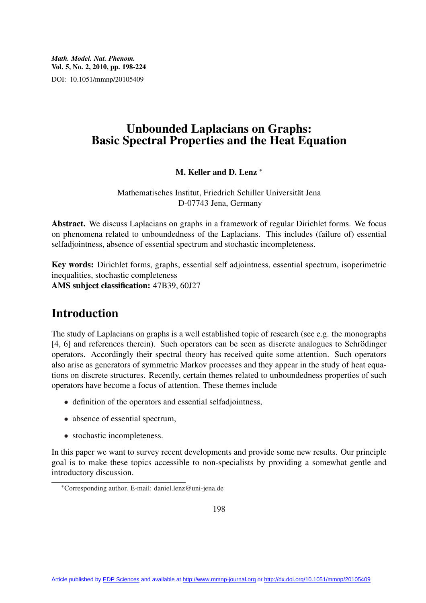*Math. Model. Nat. Phenom.* Vol. 5, No. 2, 2010, pp. 198-224 DOI: 10.1051/mmnp/20105409

## Unbounded Laplacians on Graphs: Basic Spectral Properties and the Heat Equation

### M. Keller and D. Lenz <sup>\*</sup>

Mathematisches Institut, Friedrich Schiller Universitat Jena ¨ D-07743 Jena, Germany

Abstract. We discuss Laplacians on graphs in a framework of regular Dirichlet forms. We focus on phenomena related to unboundedness of the Laplacians. This includes (failure of) essential selfadjointness, absence of essential spectrum and stochastic incompleteness.

Key words: Dirichlet forms, graphs, essential self adjointness, essential spectrum, isoperimetric inequalities, stochastic completeness AMS subject classification: 47B39, 60J27

# Introduction

The study of Laplacians on graphs is a well established topic of research (see e.g. the monographs [4, 6] and references therein). Such operators can be seen as discrete analogues to Schrödinger operators. Accordingly their spectral theory has received quite some attention. Such operators also arise as generators of symmetric Markov processes and they appear in the study of heat equations on discrete structures. Recently, certain themes related to unboundedness properties of such operators have become a focus of attention. These themes include

- definition of the operators and essential selfadjointness,
- absence of essential spectrum,
- stochastic incompleteness.

In this paper we want to survey recent developments and provide some new results. Our principle goal is to make these topics accessible to non-specialists by providing a somewhat gentle and introductory discussion.

<sup>∗</sup>Corresponding author. E-mail: daniel.lenz@uni-jena.de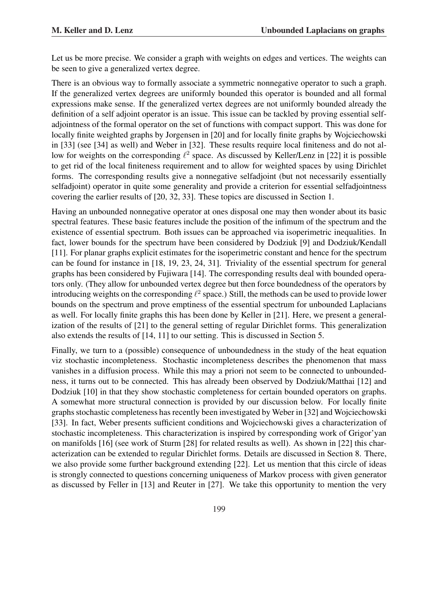Let us be more precise. We consider a graph with weights on edges and vertices. The weights can be seen to give a generalized vertex degree.

There is an obvious way to formally associate a symmetric nonnegative operator to such a graph. If the generalized vertex degrees are uniformly bounded this operator is bounded and all formal expressions make sense. If the generalized vertex degrees are not uniformly bounded already the definition of a self adjoint operator is an issue. This issue can be tackled by proving essential selfadjointness of the formal operator on the set of functions with compact support. This was done for locally finite weighted graphs by Jorgensen in [20] and for locally finite graphs by Wojciechowski in [33] (see [34] as well) and Weber in [32]. These results require local finiteness and do not allow for weights on the corresponding  $\ell^2$  space. As discussed by Keller/Lenz in [22] it is possible to get rid of the local finiteness requirement and to allow for weighted spaces by using Dirichlet forms. The corresponding results give a nonnegative selfadjoint (but not necessarily essentially selfadjoint) operator in quite some generality and provide a criterion for essential selfadjointness covering the earlier results of [20, 32, 33]. These topics are discussed in Section 1.

Having an unbounded nonnegative operator at ones disposal one may then wonder about its basic spectral features. These basic features include the position of the infimum of the spectrum and the existence of essential spectrum. Both issues can be approached via isoperimetric inequalities. In fact, lower bounds for the spectrum have been considered by Dodziuk [9] and Dodziuk/Kendall [11]. For planar graphs explicit estimates for the isoperimetric constant and hence for the spectrum can be found for instance in [18, 19, 23, 24, 31]. Triviality of the essential spectrum for general graphs has been considered by Fujiwara [14]. The corresponding results deal with bounded operators only. (They allow for unbounded vertex degree but then force boundedness of the operators by introducing weights on the corresponding  $\ell^2$  space.) Still, the methods can be used to provide lower bounds on the spectrum and prove emptiness of the essential spectrum for unbounded Laplacians as well. For locally finite graphs this has been done by Keller in [21]. Here, we present a generalization of the results of [21] to the general setting of regular Dirichlet forms. This generalization also extends the results of [14, 11] to our setting. This is discussed in Section 5.

Finally, we turn to a (possible) consequence of unboundedness in the study of the heat equation viz stochastic incompleteness. Stochastic incompleteness describes the phenomenon that mass vanishes in a diffusion process. While this may a priori not seem to be connected to unboundedness, it turns out to be connected. This has already been observed by Dodziuk/Matthai [12] and Dodziuk [10] in that they show stochastic completeness for certain bounded operators on graphs. A somewhat more structural connection is provided by our discussion below. For locally finite graphs stochastic completeness has recently been investigated by Weber in [32] and Wojciechowski [33]. In fact, Weber presents sufficient conditions and Wojciechowski gives a characterization of stochastic incompleteness. This characterization is inspired by corresponding work of Grigor'yan on manifolds [16] (see work of Sturm [28] for related results as well). As shown in [22] this characterization can be extended to regular Dirichlet forms. Details are discussed in Section 8. There, we also provide some further background extending [22]. Let us mention that this circle of ideas is strongly connected to questions concerning uniqueness of Markov process with given generator as discussed by Feller in [13] and Reuter in [27]. We take this opportunity to mention the very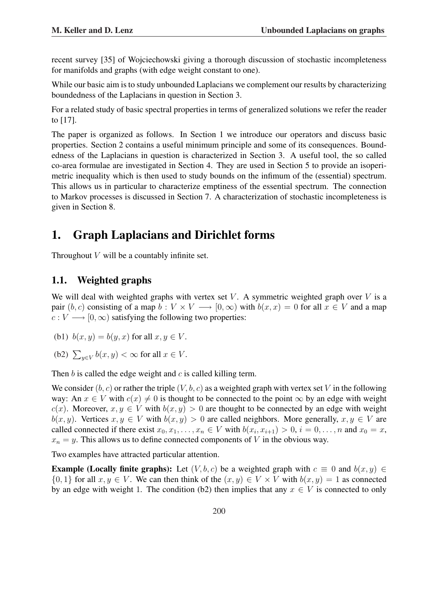recent survey [35] of Wojciechowski giving a thorough discussion of stochastic incompleteness for manifolds and graphs (with edge weight constant to one).

While our basic aim is to study unbounded Laplacians we complement our results by characterizing boundedness of the Laplacians in question in Section 3.

For a related study of basic spectral properties in terms of generalized solutions we refer the reader to [17].

The paper is organized as follows. In Section 1 we introduce our operators and discuss basic properties. Section 2 contains a useful minimum principle and some of its consequences. Boundedness of the Laplacians in question is characterized in Section 3. A useful tool, the so called co-area formulae are investigated in Section 4. They are used in Section 5 to provide an isoperimetric inequality which is then used to study bounds on the infimum of the (essential) spectrum. This allows us in particular to characterize emptiness of the essential spectrum. The connection to Markov processes is discussed in Section 7. A characterization of stochastic incompleteness is given in Section 8.

# 1. Graph Laplacians and Dirichlet forms

Throughout  $V$  will be a countably infinite set.

## 1.1. Weighted graphs

We will deal with weighted graphs with vertex set V. A symmetric weighted graph over V is a pair  $(b, c)$  consisting of a map  $b : V \times V \longrightarrow [0, \infty)$  with  $b(x, x) = 0$  for all  $x \in V$  and a map  $c: V \longrightarrow [0, \infty)$  satisfying the following two properties:

- (b1)  $b(x, y) = b(y, x)$  for all  $x, y \in V$ .
- (b2)  $\sum_{y \in V} b(x, y) < \infty$  for all  $x \in V$ .

Then  $b$  is called the edge weight and  $c$  is called killing term.

We consider  $(b, c)$  or rather the triple  $(V, b, c)$  as a weighted graph with vertex set V in the following way: An  $x \in V$  with  $c(x) \neq 0$  is thought to be connected to the point  $\infty$  by an edge with weight c(x). Moreover,  $x, y \in V$  with  $b(x, y) > 0$  are thought to be connected by an edge with weight  $b(x, y)$ . Vertices  $x, y \in V$  with  $b(x, y) > 0$  are called neighbors. More generally,  $x, y \in V$  are called connected if there exist  $x_0, x_1, \ldots, x_n \in V$  with  $b(x_i, x_{i+1}) > 0$ ,  $i = 0, \ldots, n$  and  $x_0 = x$ ,  $x_n = y$ . This allows us to define connected components of V in the obvious way.

Two examples have attracted particular attention.

**Example (Locally finite graphs):** Let  $(V, b, c)$  be a weighted graph with  $c \equiv 0$  and  $b(x, y) \in$  $\{0,1\}$  for all  $x, y \in V$ . We can then think of the  $(x, y) \in V \times V$  with  $b(x, y) = 1$  as connected by an edge with weight 1. The condition (b2) then implies that any  $x \in V$  is connected to only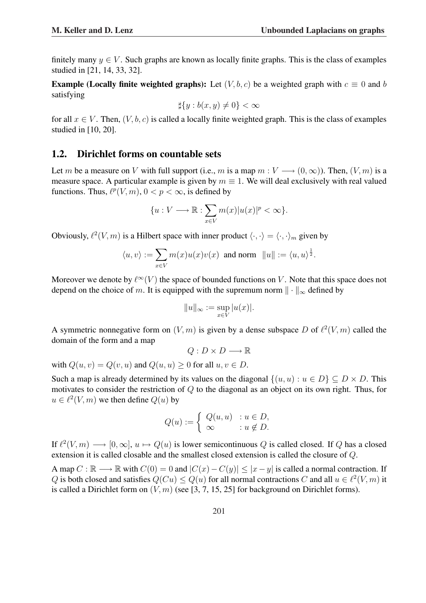finitely many  $y \in V$ . Such graphs are known as locally finite graphs. This is the class of examples studied in [21, 14, 33, 32].

**Example (Locally finite weighted graphs):** Let  $(V, b, c)$  be a weighted graph with  $c \equiv 0$  and b satisfying

$$
\sharp \{y : b(x, y) \neq 0\} < \infty
$$

for all  $x \in V$ . Then,  $(V, b, c)$  is called a locally finite weighted graph. This is the class of examples studied in [10, 20].

### 1.2. Dirichlet forms on countable sets

Let m be a measure on V with full support (i.e., m is a map  $m: V \longrightarrow (0, \infty)$ ). Then,  $(V, m)$  is a measure space. A particular example is given by  $m \equiv 1$ . We will deal exclusively with real valued functions. Thus,  $\ell^p(V, m)$ ,  $0 < p < \infty$ , is defined by

$$
\{u: V \longrightarrow \mathbb{R} : \sum_{x \in V} m(x)|u(x)|^p < \infty\}.
$$

Obviously,  $\ell^2(V, m)$  is a Hilbert space with inner product  $\langle \cdot, \cdot \rangle = \langle \cdot, \cdot \rangle_m$  given by

$$
\langle u, v \rangle := \sum_{x \in V} m(x) u(x) v(x) \text{ and norm } ||u|| := \langle u, u \rangle^{\frac{1}{2}}.
$$

Moreover we denote by  $\ell^{\infty}(V)$  the space of bounded functions on V. Note that this space does not depend on the choice of m. It is equipped with the supremum norm  $\|\cdot\|_{\infty}$  defined by

$$
||u||_{\infty} := \sup_{x \in V} |u(x)|.
$$

A symmetric nonnegative form on  $(V, m)$  is given by a dense subspace D of  $\ell^2(V, m)$  called the domain of the form and a map

$$
Q: D \times D \longrightarrow \mathbb{R}
$$

with  $Q(u, v) = Q(v, u)$  and  $Q(u, u) \ge 0$  for all  $u, v \in D$ .

Such a map is already determined by its values on the diagonal  $\{(u, u) : u \in D\} \subseteq D \times D$ . This motivates to consider the restriction of Q to the diagonal as an object on its own right. Thus, for  $u \in \ell^2(V, m)$  we then define  $Q(u)$  by

$$
Q(u) := \begin{cases} Q(u, u) & : u \in D, \\ \infty & : u \notin D. \end{cases}
$$

If  $\ell^2(V, m) \longrightarrow [0, \infty], u \mapsto Q(u)$  is lower semicontinuous Q is called closed. If Q has a closed extension it is called closable and the smallest closed extension is called the closure of Q.

A map  $C : \mathbb{R} \longrightarrow \mathbb{R}$  with  $C(0) = 0$  and  $|C(x) - C(y)| \le |x - y|$  is called a normal contraction. If Q is both closed and satisfies  $Q(Cu) \leq Q(u)$  for all normal contractions C and all  $u \in \ell^2(V, m)$  it is called a Dirichlet form on  $(V, m)$  (see [3, 7, 15, 25] for background on Dirichlet forms).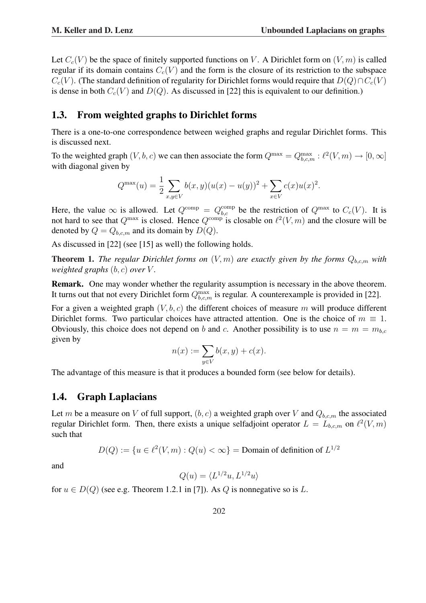Let  $C_c(V)$  be the space of finitely supported functions on V. A Dirichlet form on  $(V, m)$  is called regular if its domain contains  $C_c(V)$  and the form is the closure of its restriction to the subspace  $C_c(V)$ . (The standard definition of regularity for Dirichlet forms would require that  $D(Q) \cap C_c(V)$ is dense in both  $C_c(V)$  and  $D(Q)$ . As discussed in [22] this is equivalent to our definition.)

### 1.3. From weighted graphs to Dirichlet forms

There is a one-to-one correspondence between weighed graphs and regular Dirichlet forms. This is discussed next.

To the weighted graph  $(V, b, c)$  we can then associate the form  $Q^{\max} = Q_{b,c,m}^{\max} : \ell^2(V, m) \to [0, \infty]$ with diagonal given by

$$
Q^{\max}(u) = \frac{1}{2} \sum_{x,y \in V} b(x,y)(u(x) - u(y))^2 + \sum_{x \in V} c(x)u(x)^2.
$$

Here, the value  $\infty$  is allowed. Let  $Q^{\text{comp}} = Q_{b,c}^{\text{comp}}$  be the restriction of  $Q^{\text{max}}$  to  $C_c(V)$ . It is not hard to see that  $Q^{\max}$  is closed. Hence  $Q^{\text{comp}}$  is closable on  $\ell^2(V, m)$  and the closure will be denoted by  $Q = Q_{b, cm}$  and its domain by  $D(Q)$ .

As discussed in [22] (see [15] as well) the following holds.

**Theorem 1.** *The regular Dirichlet forms on*  $(V, m)$  *are exactly given by the forms*  $Q_{b,c,m}$  *with weighted graphs*  $(b, c)$  *over*  $V$ *.* 

Remark. One may wonder whether the regularity assumption is necessary in the above theorem. It turns out that not every Dirichlet form  $Q_{b,c,m}^{\max}$  is regular. A counterexample is provided in [22].

For a given a weighted graph  $(V, b, c)$  the different choices of measure m will produce different Dirichlet forms. Two particular choices have attracted attention. One is the choice of  $m \equiv 1$ . Obviously, this choice does not depend on b and c. Another possibility is to use  $n = m = m_{b,c}$ given by

$$
n(x) := \sum_{y \in V} b(x, y) + c(x).
$$

The advantage of this measure is that it produces a bounded form (see below for details).

### 1.4. Graph Laplacians

Let m be a measure on V of full support,  $(b, c)$  a weighted graph over V and  $Q_{b, c, m}$  the associated regular Dirichlet form. Then, there exists a unique selfadjoint operator  $L = L_{b,c,m}$  on  $\ell^2(V, m)$ such that

$$
D(Q) := \{ u \in \ell^2(V, m) : Q(u) < \infty \} = \text{Domain of definition of } L^{1/2}
$$

and

$$
Q(u) = \langle L^{1/2}u, L^{1/2}u \rangle
$$

for  $u \in D(Q)$  (see e.g. Theorem 1.2.1 in [7]). As Q is nonnegative so is L.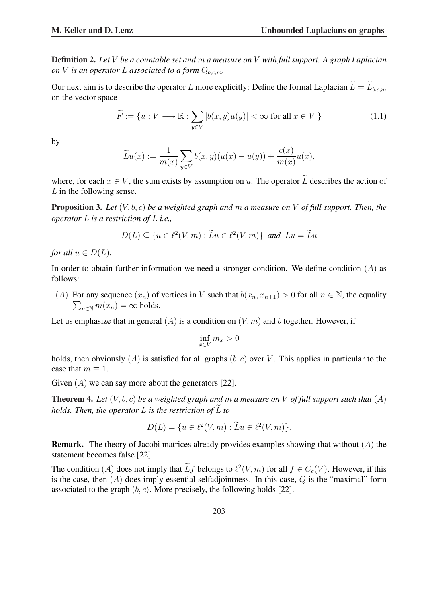Definition 2. *Let* V *be a countable set and* m *a measure on* V *with full support. A graph Laplacian on V is an operator L associated to a form*  $Q_{bc,m}$ *.* 

Our next aim is to describe the operator L more explicitly: Define the formal Laplacian  $\widetilde{L} = \widetilde{L}_{b,c,m}$ on the vector space

$$
\widetilde{F} := \{ u : V \longrightarrow \mathbb{R} : \sum_{y \in V} |b(x, y)u(y)| < \infty \text{ for all } x \in V \}
$$
\n(1.1)

by

$$
\widetilde{L}u(x):=\frac{1}{m(x)}\sum_{y\in V}b(x,y)(u(x)-u(y))+\frac{c(x)}{m(x)}u(x),
$$

where, for each  $x \in V$ , the sum exists by assumption on u. The operator  $\widetilde{L}$  describes the action of  $L$  in the following sense.

Proposition 3. *Let* (V, b, c) *be a weighted graph and* m *a measure on* V *of full support. Then, the operator*  $L$  *is a restriction of*  $\widetilde{L}$  *i.e.,* 

$$
D(L) \subseteq \{u \in \ell^2(V, m) : \widetilde{L}u \in \ell^2(V, m)\} \text{ and } Lu = \widetilde{L}u
$$

*for all*  $u \in D(L)$ *.* 

In order to obtain further information we need a stronger condition. We define condition  $(A)$  as follows:

(A) For any sequence  $(x_n)$  of vertices in V such that  $b(x_n, x_{n+1}) > 0$  for all  $n \in \mathbb{N}$ , the equality  $\sum_{n\in\mathbb{N}}m(x_n)=\infty$  holds.

Let us emphasize that in general  $(A)$  is a condition on  $(V, m)$  and b together. However, if

$$
\inf_{x \in V} m_x > 0
$$

holds, then obviously  $(A)$  is satisfied for all graphs  $(b, c)$  over V. This applies in particular to the case that  $m \equiv 1$ .

Given  $(A)$  we can say more about the generators [22].

Theorem 4. *Let* (V, b, c) *be a weighted graph and* m *a measure on* V *of full support such that* (A) *holds. Then, the operator*  $L$  *is the restriction of*  $\overline{L}$  *to* 

$$
D(L) = \{ u \in \ell^{2}(V, m) : \widetilde{L}u \in \ell^{2}(V, m) \}.
$$

**Remark.** The theory of Jacobi matrices already provides examples showing that without  $(A)$  the statement becomes false [22].

The condition (A) does not imply that  $\widetilde{L}f$  belongs to  $\ell^2(V, m)$  for all  $f \in C_c(V)$ . However, if this is the case, then  $(A)$  does imply essential selfadjointness. In this case,  $Q$  is the "maximal" form associated to the graph  $(b, c)$ . More precisely, the following holds [22].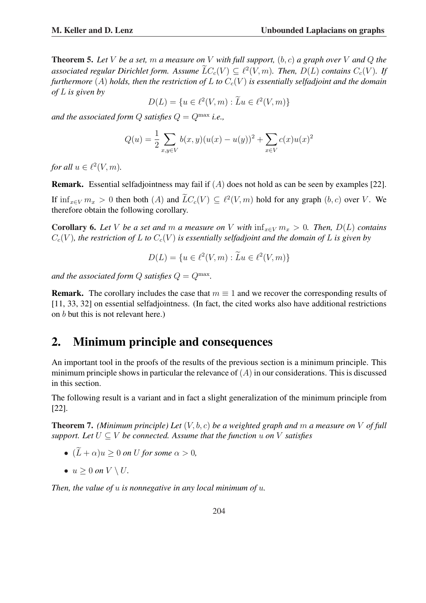$$
D(L) = \{ u \in \ell^2(V, m) : \widetilde{L}u \in \ell^2(V, m) \}
$$

*and the associated form Q satisfies*  $Q = Q^{\max}$  *i.e.*,

$$
Q(u) = \frac{1}{2} \sum_{x,y \in V} b(x,y)(u(x) - u(y))^2 + \sum_{x \in V} c(x)u(x)^2
$$

*for all*  $u \in \ell^2(V, m)$ *.* 

**Remark.** Essential selfadjointness may fail if  $(A)$  does not hold as can be seen by examples [22]. If  $\inf_{x \in V} m_x > 0$  then both  $(A)$  and  $\widetilde{L}C_c(V) \subseteq \ell^2(V,m)$  hold for any graph  $(b, c)$  over V. We therefore obtain the following corollary.

**Corollary 6.** Let V be a set and m a measure on V with  $\inf_{x \in V} m_x > 0$ . Then,  $D(L)$  contains  $C_c(V)$ , the restriction of L to  $C_c(V)$  is essentially selfadjoint and the domain of L is given by

$$
D(L) = \{ u \in \ell^2(V, m) : \widetilde{L}u \in \ell^2(V, m) \}
$$

and the associated form  $Q$  satisfies  $Q = Q^{\max}$ .

**Remark.** The corollary includes the case that  $m \equiv 1$  and we recover the corresponding results of [11, 33, 32] on essential selfadjointness. (In fact, the cited works also have additional restrictions on b but this is not relevant here.)

# 2. Minimum principle and consequences

An important tool in the proofs of the results of the previous section is a minimum principle. This minimum principle shows in particular the relevance of  $(A)$  in our considerations. This is discussed in this section.

The following result is a variant and in fact a slight generalization of the minimum principle from [22].

Theorem 7. *(Minimum principle) Let* (V, b, c) *be a weighted graph and* m *a measure on* V *of full support. Let*  $U \subseteq V$  *be connected. Assume that the function* u *on* V *satisfies* 

- $(\widetilde{L} + \alpha)u \geq 0$  *on U* for some  $\alpha > 0$ ,
- $u > 0$  *on*  $V \setminus U$ .

*Then, the value of* u *is nonnegative in any local minimum of* u*.*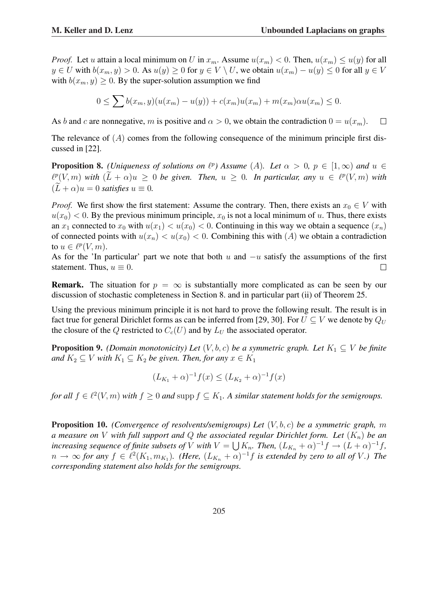*Proof.* Let u attain a local minimum on U in  $x_m$ . Assume  $u(x_m) < 0$ . Then,  $u(x_m) \le u(y)$  for all  $y \in U$  with  $b(x_m, y) > 0$ . As  $u(y) \ge 0$  for  $y \in V \setminus U$ , we obtain  $u(x_m) - u(y) \le 0$  for all  $y \in V$ with  $b(x_m, y) \geq 0$ . By the super-solution assumption we find

$$
0 \le \sum b(x_m, y)(u(x_m) - u(y)) + c(x_m)u(x_m) + m(x_m)\alpha u(x_m) \le 0.
$$

As b and c are nonnegative, m is positive and  $\alpha > 0$ , we obtain the contradiction  $0 = u(x_m)$ .  $\Box$ 

The relevance of  $(A)$  comes from the following consequence of the minimum principle first discussed in [22].

**Proposition 8.** *(Uniqueness of solutions on*  $\ell^p$ ) Assume  $(A)$ *. Let*  $\alpha > 0$ *,*  $p \in [1, \infty)$  *and*  $u \in$  $\ell^p(V, m)$  with  $(\widetilde{L} + \alpha)u \geq 0$  be given. Then,  $u \geq 0$ . In particular, any  $u \in \ell^p(V, m)$  with  $(L + \alpha)u = 0$  *satisfies*  $u \equiv 0$ .

*Proof.* We first show the first statement: Assume the contrary. Then, there exists an  $x_0 \in V$  with  $u(x_0) < 0$ . By the previous minimum principle,  $x_0$  is not a local minimum of u. Thus, there exists an  $x_1$  connected to  $x_0$  with  $u(x_1) < u(x_0) < 0$ . Continuing in this way we obtain a sequence  $(x_n)$ of connected points with  $u(x_n) < u(x_0) < 0$ . Combining this with  $(A)$  we obtain a contradiction to  $u \in \ell^p(V, m)$ .

As for the 'In particular' part we note that both u and  $-u$  satisfy the assumptions of the first statement. Thus,  $u \equiv 0$ .  $\Box$ 

**Remark.** The situation for  $p = \infty$  is substantially more complicated as can be seen by our discussion of stochastic completeness in Section 8. and in particular part (ii) of Theorem 25.

Using the previous minimum principle it is not hard to prove the following result. The result is in fact true for general Dirichlet forms as can be inferred from [29, 30]. For  $U \subseteq V$  we denote by  $Q_U$ the closure of the Q restricted to  $C_c(U)$  and by  $L_U$  the associated operator.

**Proposition 9.** *(Domain monotonicity) Let*  $(V, b, c)$  *be a symmetric graph. Let*  $K_1 \subseteq V$  *be finite and*  $K_2 \subseteq V$  *with*  $K_1 \subseteq K_2$  *be given. Then, for any*  $x \in K_1$ 

$$
(L_{K_1} + \alpha)^{-1} f(x) \le (L_{K_2} + \alpha)^{-1} f(x)
$$

*for all*  $f \in \ell^2(V, m)$  *with*  $f \geq 0$  *and* supp  $f \subseteq K_1$ *. A similar statement holds for the semigroups.* 

Proposition 10. *(Convergence of resolvents/semigroups) Let* (V, b, c) *be a symmetric graph,* m *a* measure on *V* with full support and *Q* the associated regular Dirichlet form. Let  $(K_n)$  be an *increasing sequence of finite subsets of* V *with*  $V = \bigcup K_n$ . Then,  $(L_{K_n} + \alpha)^{-1} f \rightarrow (L + \alpha)^{-1} f$ ,  $n \to \infty$  for any  $f \in \ell^2(K_1, m_{K_1})$ . (Here,  $(L_{K_n} + \alpha)^{-1}f$  is extended by zero to all of V.) The *corresponding statement also holds for the semigroups.*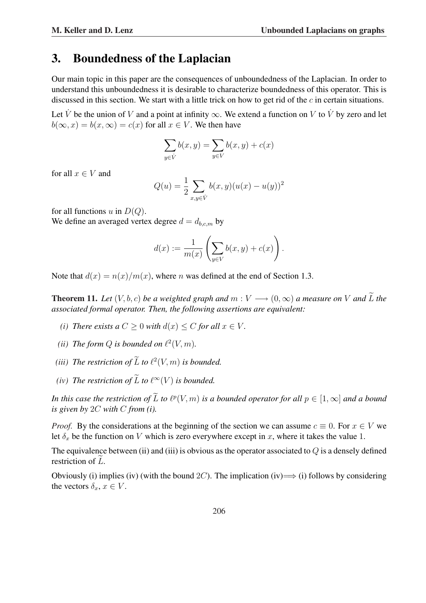### 3. Boundedness of the Laplacian

Our main topic in this paper are the consequences of unboundedness of the Laplacian. In order to understand this unboundedness it is desirable to characterize boundedness of this operator. This is discussed in this section. We start with a little trick on how to get rid of the  $c$  in certain situations.

Let V be the union of V and a point at infinity  $\infty$ . We extend a function on V to V by zero and let  $b(\infty, x) = b(x, \infty) = c(x)$  for all  $x \in V$ . We then have

$$
\sum_{y \in V} b(x, y) = \sum_{y \in V} b(x, y) + c(x)
$$

for all  $x \in V$  and

$$
Q(u) = \frac{1}{2} \sum_{x,y \in V} b(x,y)(u(x) - u(y))^2
$$

for all functions u in  $D(Q)$ .

We define an averaged vertex degree  $d = d_{b,c,m}$  by

$$
d(x) := \frac{1}{m(x)} \left( \sum_{y \in V} b(x, y) + c(x) \right).
$$

Note that  $d(x) = n(x)/m(x)$ , where *n* was defined at the end of Section 1.3.

**Theorem 11.** Let  $(V, b, c)$  be a weighted graph and  $m: V \longrightarrow (0, \infty)$  a measure on V and  $\widetilde{L}$  the *associated formal operator. Then, the following assertions are equivalent:*

- *(i) There exists a*  $C > 0$  *with*  $d(x) < C$  *for all*  $x \in V$ *.*
- (*ii*) The form  $Q$  is bounded on  $\ell^2(V, m)$ .
- *(iii)* The restriction of  $\widetilde{L}$  to  $\ell^2(V, m)$  is bounded.
- *(iv)* The restriction of  $\widetilde{L}$  to  $\ell^{\infty}(V)$  is bounded.

In this case the restriction of  $\widetilde{L}$  to  $\ell^p(V, m)$  is a bounded operator for all  $p \in [1, \infty]$  and a bound *is given by* 2C *with* C *from (i).*

*Proof.* By the considerations at the beginning of the section we can assume  $c \equiv 0$ . For  $x \in V$  we let  $\delta_x$  be the function on V which is zero everywhere except in x, where it takes the value 1.

The equivalence between (ii) and (iii) is obvious as the operator associated to  $Q$  is a densely defined restriction of  $L$ .

Obviously (i) implies (iv) (with the bound 2C). The implication (iv)  $\implies$  (i) follows by considering the vectors  $\delta_x, x \in V$ .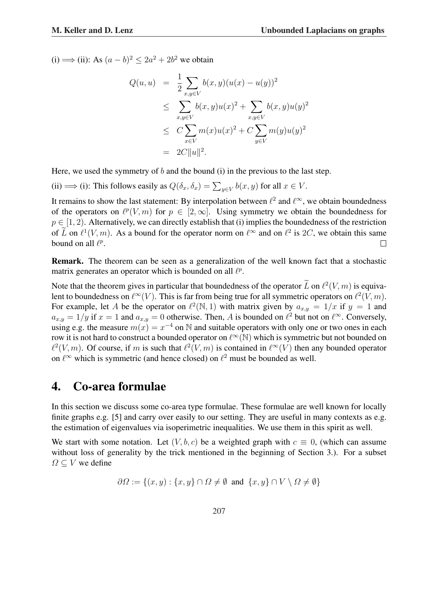(i) ⇒ (ii): As  $(a - b)^2 \le 2a^2 + 2b^2$  we obtain

$$
Q(u, u) = \frac{1}{2} \sum_{x,y \in V} b(x, y)(u(x) - u(y))^2
$$
  
\n
$$
\leq \sum_{x,y \in V} b(x, y)u(x)^2 + \sum_{x,y \in V} b(x, y)u(y)^2
$$
  
\n
$$
\leq C \sum_{x \in V} m(x)u(x)^2 + C \sum_{y \in V} m(y)u(y)^2
$$
  
\n
$$
= 2C||u||^2.
$$

Here, we used the symmetry of b and the bound (i) in the previous to the last step.

(ii)  $\implies$  (i): This follows easily as  $Q(\delta_x, \delta_x) = \sum_{y \in V} b(x, y)$  for all  $x \in V$ .

It remains to show the last statement: By interpolation between  $\ell^2$  and  $\ell^{\infty}$ , we obtain boundedness of the operators on  $\ell^p(V, m)$  for  $p \in [2, \infty]$ . Using symmetry we obtain the boundedness for  $p \in [1, 2)$ . Alternatively, we can directly establish that (i) implies the boundedness of the restriction of  $\tilde{L}$  on  $\ell^1(V, m)$ . As a bound for the operator norm on  $\ell^{\infty}$  and on  $\ell^2$  is 2C, we obtain this same bound on all  $\ell^p$ .  $\Box$ 

Remark. The theorem can be seen as a generalization of the well known fact that a stochastic matrix generates an operator which is bounded on all  $\ell^p$ .

Note that the theorem gives in particular that boundedness of the operator  $\widetilde{L}$  on  $\ell^2(V, m)$  is equivalent to boundedness on  $\ell^{\infty}(V)$ . This is far from being true for all symmetric operators on  $\ell^2(V, m)$ . For example, let A be the operator on  $\ell^2(\mathbb{N}, 1)$  with matrix given by  $a_{x,y} = 1/x$  if  $y = 1$  and  $a_{x,y} = 1/y$  if  $x = 1$  and  $a_{x,y} = 0$  otherwise. Then, A is bounded on  $\ell^2$  but not on  $\ell^{\infty}$ . Conversely, using e.g. the measure  $m(x) = x^{-4}$  on N and suitable operators with only one or two ones in each row it is not hard to construct a bounded operator on  $\ell^{\infty}(\mathbb{N})$  which is symmetric but not bounded on  $\ell^2(V, m)$ . Of course, if m is such that  $\ell^2(V, m)$  is contained in  $\ell^{\infty}(V)$  then any bounded operator on  $\ell^{\infty}$  which is symmetric (and hence closed) on  $\ell^2$  must be bounded as well.

## 4. Co-area formulae

In this section we discuss some co-area type formulae. These formulae are well known for locally finite graphs e.g. [5] and carry over easily to our setting. They are useful in many contexts as e.g. the estimation of eigenvalues via isoperimetric inequalities. We use them in this spirit as well.

We start with some notation. Let  $(V, b, c)$  be a weighted graph with  $c \equiv 0$ , (which can assume without loss of generality by the trick mentioned in the beginning of Section 3.). For a subset  $\Omega \subset V$  we define

$$
\partial\Omega := \{(x, y) : \{x, y\} \cap \Omega \neq \emptyset \text{ and } \{x, y\} \cap V \setminus \Omega \neq \emptyset\}
$$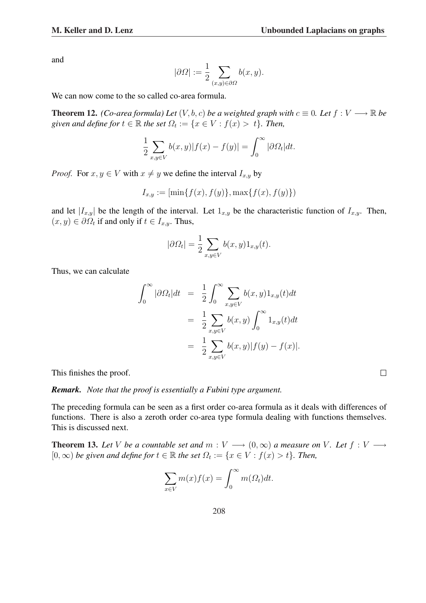and

$$
|\partial\Omega| := \frac{1}{2} \sum_{(x,y)\in\partial\Omega} b(x,y).
$$

We can now come to the so called co-area formula.

**Theorem 12.** *(Co-area formula) Let*  $(V, b, c)$  *be a weighted graph with*  $c \equiv 0$ *. Let*  $f : V \longrightarrow \mathbb{R}$  *be* given and define for  $t \in \mathbb{R}$  the set  $\Omega_t := \{x \in V : f(x) > t\}$ . Then,

$$
\frac{1}{2} \sum_{x,y \in V} b(x,y) |f(x) - f(y)| = \int_0^\infty |\partial \Omega_t| dt.
$$

*Proof.* For  $x, y \in V$  with  $x \neq y$  we define the interval  $I_{x,y}$  by

$$
I_{x,y} := [\min\{f(x), f(y)\}, \max\{f(x), f(y)\})
$$

and let  $|I_{x,y}|$  be the length of the interval. Let  $1_{x,y}$  be the characteristic function of  $I_{x,y}$ . Then,  $(x, y) \in \partial \Omega_t$  if and only if  $t \in I_{x,y}$ . Thus,

$$
|\partial \Omega_t| = \frac{1}{2} \sum_{x,y \in V} b(x,y) 1_{x,y}(t).
$$

Thus, we can calculate

$$
\int_0^\infty |\partial \Omega_t| dt = \frac{1}{2} \int_0^\infty \sum_{x,y \in V} b(x,y) 1_{x,y}(t) dt
$$
  

$$
= \frac{1}{2} \sum_{x,y \in V} b(x,y) \int_0^\infty 1_{x,y}(t) dt
$$
  

$$
= \frac{1}{2} \sum_{x,y \in V} b(x,y) |f(y) - f(x)|.
$$

This finishes the proof.

*Remark. Note that the proof is essentially a Fubini type argument.*

The preceding formula can be seen as a first order co-area formula as it deals with differences of functions. There is also a zeroth order co-area type formula dealing with functions themselves. This is discussed next.

**Theorem 13.** Let V be a countable set and  $m: V \longrightarrow (0, \infty)$  a measure on V. Let  $f: V \longrightarrow$  $[0, \infty)$  *be given and define for*  $t \in \mathbb{R}$  *the set*  $\Omega_t := \{x \in V : f(x) > t\}$ *. Then,* 

$$
\sum_{x \in V} m(x) f(x) = \int_0^\infty m(\Omega_t) dt.
$$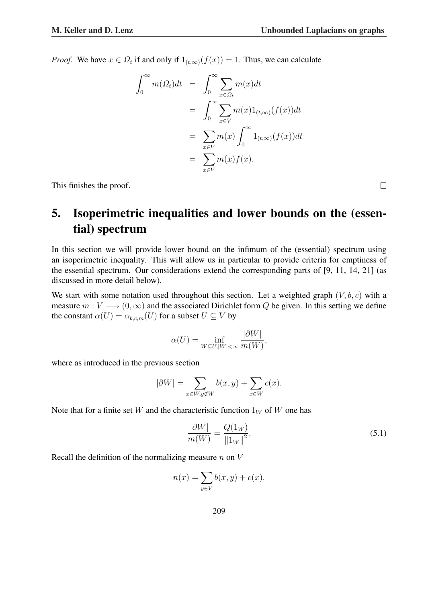*Proof.* We have  $x \in \Omega_t$  if and only if  $1_{(t,\infty)}(f(x)) = 1$ . Thus, we can calculate

$$
\int_0^\infty m(\Omega_t)dt = \int_0^\infty \sum_{x \in \Omega_t} m(x)dt
$$
  
= 
$$
\int_0^\infty \sum_{x \in V} m(x)1_{(t,\infty)}(f(x))dt
$$
  
= 
$$
\sum_{x \in V} m(x) \int_0^\infty 1_{(t,\infty)}(f(x))dt
$$
  
= 
$$
\sum_{x \in V} m(x)f(x).
$$

This finishes the proof.

# 5. Isoperimetric inequalities and lower bounds on the (essential) spectrum

In this section we will provide lower bound on the infimum of the (essential) spectrum using an isoperimetric inequality. This will allow us in particular to provide criteria for emptiness of the essential spectrum. Our considerations extend the corresponding parts of [9, 11, 14, 21] (as discussed in more detail below).

We start with some notation used throughout this section. Let a weighted graph  $(V, b, c)$  with a measure  $m: V \longrightarrow (0, \infty)$  and the associated Dirichlet form Q be given. In this setting we define the constant  $\alpha(U) = \alpha_{b,c,m}(U)$  for a subset  $U \subseteq V$  by

$$
\alpha(U) = \inf_{W \subseteq U, |W| < \infty} \frac{|\partial W|}{m(W)},
$$

where as introduced in the previous section

$$
|\partial W| = \sum_{x \in W, y \notin W} b(x, y) + \sum_{x \in W} c(x).
$$

Note that for a finite set W and the characteristic function  $1_W$  of W one has

$$
\frac{|\partial W|}{m(W)} = \frac{Q(1_W)}{\|1_W\|^2}.
$$
\n(5.1)

Recall the definition of the normalizing measure  $n$  on  $V$ 

$$
n(x) = \sum_{y \in V} b(x, y) + c(x).
$$

209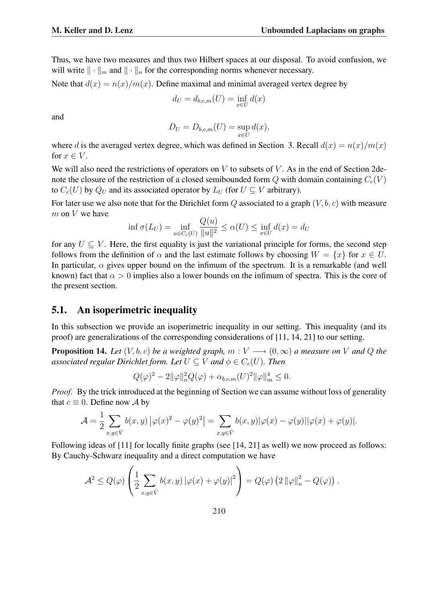Thus, we have two measures and thus two Hilbert spaces at our disposal. To avoid confusion, we will write  $\|\cdot\|_m$  and  $\|\cdot\|_n$  for the corresponding norms whenever necessary.

Note that  $d(x) = n(x)/m(x)$ . Define maximal and minimal averaged vertex degree by

$$
d_U = d_{b,c,m}(U) = \inf_{x \in U} d(x)
$$

and

$$
D_U = D_{b,c,m}(U) = \sup_{x \in U} d(x),
$$

where d is the averaged vertex degree, which was defined in Section 3. Recall  $d(x) = n(x)/m(x)$ for  $x \in V$ .

We will also need the restrictions of operators on  $V$  to subsets of  $V$ . As in the end of Section 2denote the closure of the restriction of a closed semibounded form Q with domain containing  $C_c(V)$ to  $C_c(U)$  by  $Q_U$  and its associated operator by  $L_U$  (for  $U \subseteq V$  arbitrary).

For later use we also note that for the Dirichlet form  $Q$  associated to a graph  $(V, b, c)$  with measure  $m$  on  $V$  we have

$$
\inf \sigma(L_U) = \inf_{u \in C_c(U)} \frac{Q(u)}{\|u\|^2} \le \alpha(U) \le \inf_{x \in U} d(x) = d_U
$$

for any  $U \subseteq V$ . Here, the first equality is just the variational principle for forms, the second step follows from the definition of  $\alpha$  and the last estimate follows by choosing  $W = \{x\}$  for  $x \in U$ . In particular,  $\alpha$  gives upper bound on the infimum of the spectrum. It is a remarkable (and well known) fact that  $\alpha > 0$  implies also a lower bounds on the infimum of spectra. This is the core of the present section.

### 5.1. An isoperimetric inequality

In this subsection we provide an isoperimetric inequality in our setting. This inequality (and its proof) are generalizations of the corresponding considerations of [11, 14, 21] to our setting.

**Proposition 14.** *Let*  $(V, b, c)$  *be a weighted graph,*  $m: V \longrightarrow (0, \infty)$  *a measure on* V *and* Q *the associated regular Dirichlet form. Let*  $U \subseteq V$  *and*  $\phi \in C_c(U)$ *. Then* 

$$
Q(\varphi)^{2} - 2||\varphi||_{n}^{2}Q(\varphi) + \alpha_{b,c,m}(U)^{2}||\varphi||_{m}^{4} \leq 0.
$$

*Proof.* By the trick introduced at the beginning of Section we can assume without loss of generality that  $c \equiv 0$ . Define now A by

$$
\mathcal{A} = \frac{1}{2} \sum_{x,y \in V} b(x,y) |\varphi(x)|^2 - \varphi(y)|^2 = \sum_{x,y \in V} b(x,y) |\varphi(x) - \varphi(y)| |\varphi(x) + \varphi(y)|.
$$

Following ideas of [11] for locally finite graphs (see [14, 21] as well) we now proceed as follows: By Cauchy-Schwarz inequality and a direct computation we have

$$
\mathcal{A}^2 \leq Q(\varphi) \left( \frac{1}{2} \sum_{x,y \in V} b(x,y) \left| \varphi(x) + \varphi(y) \right|^2 \right) = Q(\varphi) \left( 2 \left\| \varphi \right\|_n^2 - Q(\varphi) \right).
$$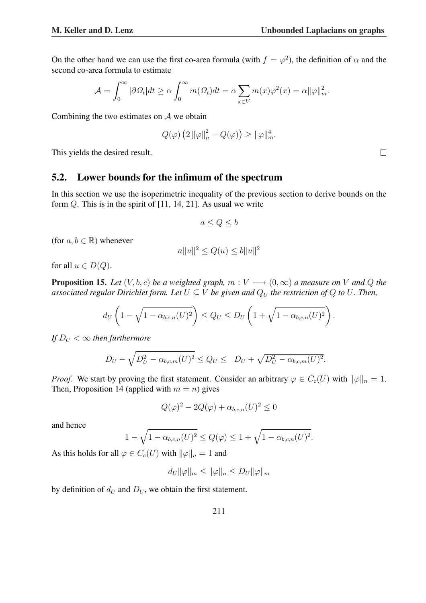.

On the other hand we can use the first co-area formula (with  $f = \varphi^2$ ), the definition of  $\alpha$  and the second co-area formula to estimate

$$
\mathcal{A} = \int_0^\infty |\partial \Omega_t| dt \ge \alpha \int_0^\infty m(\Omega_t) dt = \alpha \sum_{x \in V} m(x) \varphi^2(x) = \alpha ||\varphi||_m^2.
$$

Combining the two estimates on A we obtain

$$
Q(\varphi) \left( 2 \left\| \varphi \right\|_n^2 - Q(\varphi) \right) \ge \|\varphi\|_m^4.
$$

This yields the desired result.

#### 5.2. Lower bounds for the infimum of the spectrum

In this section we use the isoperimetric inequality of the previous section to derive bounds on the form Q. This is in the spirit of [11, 14, 21]. As usual we write

$$
a \le Q \le b
$$

(for  $a, b \in \mathbb{R}$ ) whenever

$$
a||u||^2 \le Q(u) \le b||u||^2
$$

for all  $u \in D(Q)$ .

**Proposition 15.** Let  $(V, b, c)$  be a weighted graph,  $m: V \longrightarrow (0, \infty)$  a measure on V and Q the *associated regular Dirichlet form. Let*  $U \subseteq V$  *be given and*  $Q_U$  *the restriction of*  $Q$  *to*  $U$ *. Then,* 

$$
d_U\left(1-\sqrt{1-\alpha_{b,c,n}(U)^2}\right) \leq Q_U \leq D_U\left(1+\sqrt{1-\alpha_{b,c,n}(U)^2}\right).
$$

*If*  $D_U < \infty$  *then furthermore* 

$$
D_U - \sqrt{D_U^2 - \alpha_{b,c,m}(U)^2} \le Q_U \le D_U + \sqrt{D_U^2 - \alpha_{b,c,m}(U)^2}.
$$

*Proof.* We start by proving the first statement. Consider an arbitrary  $\varphi \in C_c(U)$  with  $\|\varphi\|_n = 1$ . Then, Proposition 14 (applied with  $m = n$ ) gives

$$
Q(\varphi)^2 - 2Q(\varphi) + \alpha_{b,c,n}(U)^2 \le 0
$$

and hence

$$
1 - \sqrt{1 - \alpha_{b,c,n}(U)^2} \le Q(\varphi) \le 1 + \sqrt{1 - \alpha_{b,c,n}(U)^2}
$$

As this holds for all  $\varphi \in C_c(U)$  with  $\|\varphi\|_n = 1$  and

 $d_U \|\varphi\|_m \leq \|\varphi\|_n \leq D_U \|\varphi\|_m$ 

by definition of  $d_U$  and  $D_U$ , we obtain the first statement.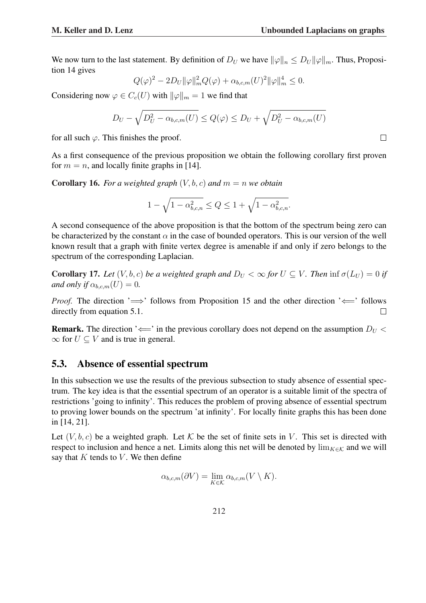We now turn to the last statement. By definition of  $D_U$  we have  $\|\varphi\|_n \leq D_U \|\varphi\|_m$ . Thus, Proposition 14 gives

$$
Q(\varphi)^{2} - 2D_{U} \|\varphi\|_{m}^{2} Q(\varphi) + \alpha_{b,c,m}(U)^{2} \|\varphi\|_{m}^{4} \leq 0.
$$

Considering now  $\varphi \in C_c(U)$  with  $\|\varphi\|_m = 1$  we find that

$$
D_U - \sqrt{D_U^2 - \alpha_{b,c,m}(U)} \le Q(\varphi) \le D_U + \sqrt{D_U^2 - \alpha_{b,c,m}(U)}
$$

for all such  $\varphi$ . This finishes the proof.

As a first consequence of the previous proposition we obtain the following corollary first proven for  $m = n$ , and locally finite graphs in [14].

**Corollary 16.** For a weighted graph  $(V, b, c)$  and  $m = n$  we obtain

$$
1 - \sqrt{1 - \alpha_{b,c,n}^2} \le Q \le 1 + \sqrt{1 - \alpha_{b,c,n}^2}.
$$

A second consequence of the above proposition is that the bottom of the spectrum being zero can be characterized by the constant  $\alpha$  in the case of bounded operators. This is our version of the well known result that a graph with finite vertex degree is amenable if and only if zero belongs to the spectrum of the corresponding Laplacian.

**Corollary 17.** *Let*  $(V, b, c)$  *be a weighted graph and*  $D_U < \infty$  *for*  $U \subseteq V$ *. Then* inf  $\sigma(L_U) = 0$  *if and only if*  $\alpha_{b,c,m}(U) = 0$ .

*Proof.* The direction ' $\implies$ ' follows from Proposition 15 and the other direction ' $\Longleftarrow$ ' follows directly from equation 5.1.  $\Box$ 

**Remark.** The direction ' $\Leftarrow$ ' in the previous corollary does not depend on the assumption  $D_U$  <  $\infty$  for  $U \subset V$  and is true in general.

### 5.3. Absence of essential spectrum

In this subsection we use the results of the previous subsection to study absence of essential spectrum. The key idea is that the essential spectrum of an operator is a suitable limit of the spectra of restrictions 'going to infinity'. This reduces the problem of proving absence of essential spectrum to proving lower bounds on the spectrum 'at infinity'. For locally finite graphs this has been done in [14, 21].

Let  $(V, b, c)$  be a weighted graph. Let K be the set of finite sets in V. This set is directed with respect to inclusion and hence a net. Limits along this net will be denoted by  $\lim_{K \in \mathcal{K}}$  and we will say that  $K$  tends to  $V$ . We then define

$$
\alpha_{b,c,m}(\partial V) = \lim_{K \in \mathcal{K}} \alpha_{b,c,m}(V \setminus K).
$$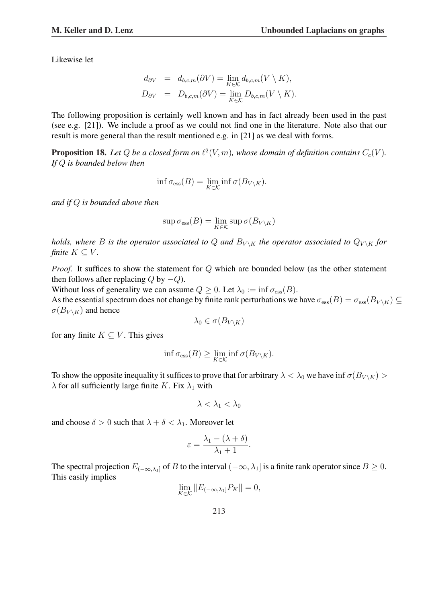Likewise let

$$
d_{\partial V} = d_{b,c,m}(\partial V) = \lim_{K \in \mathcal{K}} d_{b,c,m}(V \setminus K),
$$
  
\n
$$
D_{\partial V} = D_{b,c,m}(\partial V) = \lim_{K \in \mathcal{K}} D_{b,c,m}(V \setminus K).
$$

The following proposition is certainly well known and has in fact already been used in the past (see e.g. [21]). We include a proof as we could not find one in the literature. Note also that our result is more general than the result mentioned e.g. in [21] as we deal with forms.

**Proposition 18.** Let Q be a closed form on  $\ell^2(V, m)$ , whose domain of definition contains  $C_c(V)$ . *If* Q *is bounded below then*

$$
\inf \sigma_{\rm ess}(B) = \lim_{K \in \mathcal{K}} \inf \sigma(B_{V \setminus K}).
$$

*and if* Q *is bounded above then*

$$
\sup \sigma_{\mathrm{ess}}(B) = \lim_{K \in \mathcal{K}} \sup \sigma(B_{V \setminus K})
$$

*holds, where B is the operator associated to Q and*  $B_{V \setminus K}$  *the operator associated to*  $Q_{V \setminus K}$  *for finite*  $K \subseteq V$ *.* 

*Proof.* It suffices to show the statement for Q which are bounded below (as the other statement then follows after replacing  $Q$  by  $-Q$ ).

Without loss of generality we can assume  $Q \geq 0$ . Let  $\lambda_0 := \inf \sigma_{\text{ess}}(B)$ .

As the essential spectrum does not change by finite rank perturbations we have  $\sigma_{\rm ess}(B) = \sigma_{\rm ess}(B_{V \setminus K}) \subseteq$  $\sigma(B_{V \setminus K})$  and hence

$$
\lambda_0 \in \sigma(B_{V \setminus K})
$$

for any finite  $K \subseteq V$ . This gives

$$
\inf \sigma_{\text{ess}}(B) \ge \lim_{K \in \mathcal{K}} \inf \sigma(B_{V \setminus K}).
$$

To show the opposite inequality it suffices to prove that for arbitrary  $\lambda < \lambda_0$  we have inf  $\sigma(B_{V \setminus K})$  $\lambda$  for all sufficiently large finite K. Fix  $\lambda_1$  with

$$
\lambda<\lambda_1<\lambda_0
$$

and choose  $\delta > 0$  such that  $\lambda + \delta < \lambda_1$ . Moreover let

$$
\varepsilon = \frac{\lambda_1 - (\lambda + \delta)}{\lambda_1 + 1}.
$$

The spectral projection  $E_{(-\infty,\lambda_1]}$  of B to the interval  $(-\infty,\lambda_1]$  is a finite rank operator since  $B \ge 0$ . This easily implies

$$
\lim_{K \in \mathcal{K}} \|E_{(-\infty,\lambda_1]} P_K\| = 0,
$$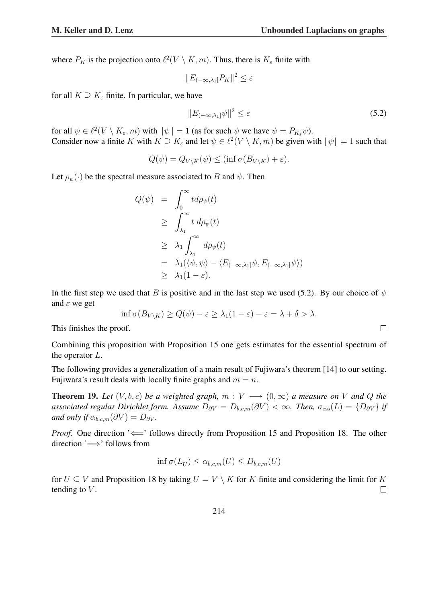where  $P_K$  is the projection onto  $\ell^2(V \setminus K, m)$ . Thus, there is  $K_{\varepsilon}$  finite with

$$
||E_{(-\infty,\lambda_1]}P_K||^2 \le \varepsilon
$$

for all  $K \supseteq K_{\varepsilon}$  finite. In particular, we have

$$
||E_{(-\infty,\lambda_1]}\psi||^2 \le \varepsilon \tag{5.2}
$$

for all  $\psi \in \ell^2(V \setminus K_\varepsilon, m)$  with  $\|\psi\| = 1$  (as for such  $\psi$  we have  $\psi = P_{K_\varepsilon}\psi$ ). Consider now a finite K with  $K \supseteq K_{\varepsilon}$  and let  $\psi \in \ell^2(V \setminus K, m)$  be given with  $\|\psi\| = 1$  such that

$$
Q(\psi) = Q_{V \setminus K}(\psi) \le (\inf \sigma(B_{V \setminus K}) + \varepsilon).
$$

Let  $\rho_{\psi}(\cdot)$  be the spectral measure associated to B and  $\psi$ . Then

$$
Q(\psi) = \int_0^{\infty} t d\rho_{\psi}(t)
$$
  
\n
$$
\geq \int_{\lambda_1}^{\infty} t d\rho_{\psi}(t)
$$
  
\n
$$
\geq \lambda_1 \int_{\lambda_1}^{\infty} d\rho_{\psi}(t)
$$
  
\n
$$
= \lambda_1 (\langle \psi, \psi \rangle - \langle E_{(-\infty, \lambda_1]} \psi, E_{(-\infty, \lambda_1]} \psi \rangle)
$$
  
\n
$$
\geq \lambda_1 (1 - \varepsilon).
$$

In the first step we used that B is positive and in the last step we used (5.2). By our choice of  $\psi$ and  $\varepsilon$  we get

$$
\inf \sigma(B_{V\setminus K}) \ge Q(\psi) - \varepsilon \ge \lambda_1(1-\varepsilon) - \varepsilon = \lambda + \delta > \lambda.
$$

This finishes the proof.

Combining this proposition with Proposition 15 one gets estimates for the essential spectrum of the operator L.

The following provides a generalization of a main result of Fujiwara's theorem [14] to our setting. Fujiwara's result deals with locally finite graphs and  $m = n$ .

**Theorem 19.** Let  $(V, b, c)$  be a weighted graph,  $m: V \longrightarrow (0, \infty)$  a measure on V and Q the associated regular Dirichlet form. Assume  $D_{\partial V} = D_{b,c,m}(\partial V) < \infty$ . Then,  $\sigma_{\text{ess}}(L) = \{D_{\partial V}\}\$ if *and only if*  $\alpha_{b,c,m}(\partial V) = D_{\partial V}$ *.* 

*Proof.* One direction ' $\Leftarrow$ ' follows directly from Proposition 15 and Proposition 18. The other direction '=⇒' follows from

$$
\inf \sigma(L_U) \le \alpha_{b,c,m}(U) \le D_{b,c,m}(U)
$$

for  $U \subseteq V$  and Proposition 18 by taking  $U = V \setminus K$  for K finite and considering the limit for K tending to  $V$ .  $\Box$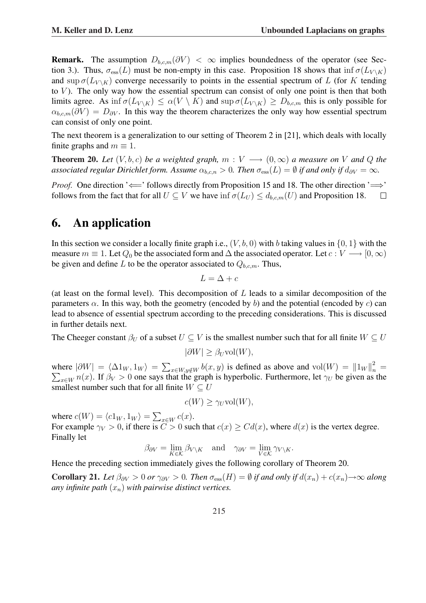**Remark.** The assumption  $D_{b,c,m}(\partial V) < \infty$  implies boundedness of the operator (see Section 3.). Thus,  $\sigma_{\rm ess}(L)$  must be non-empty in this case. Proposition 18 shows that inf  $\sigma(L_{V \setminus K})$ and sup  $\sigma(L_{V \setminus K})$  converge necessarily to points in the essential spectrum of L (for K tending to  $V$ ). The only way how the essential spectrum can consist of only one point is then that both limits agree. As inf  $\sigma(L_{V \setminus K}) \leq \alpha(V \setminus K)$  and sup  $\sigma(L_{V \setminus K}) \geq D_{b,c,m}$  this is only possible for  $\alpha_{b,c,m}(\partial V) = D_{\partial V}$ . In this way the theorem characterizes the only way how essential spectrum can consist of only one point.

The next theorem is a generalization to our setting of Theorem 2 in [21], which deals with locally finite graphs and  $m \equiv 1$ .

**Theorem 20.** Let  $(V, b, c)$  be a weighted graph,  $m: V \longrightarrow (0, \infty)$  a measure on V and Q the *associated regular Dirichlet form. Assume*  $\alpha_{b,c,n} > 0$ *. Then*  $\sigma_{\text{ess}}(L) = \emptyset$  *if and only if*  $d_{\partial V} = \infty$ *.* 

*Proof.* One direction ' $\Longleftarrow$ ' follows directly from Proposition 15 and 18. The other direction ' $\Longrightarrow$ ' follows from the fact that for all  $U \subseteq V$  we have  $\inf \sigma(L_U) \leq d_{b,c,m}(U)$  and Proposition 18.  $\Box$ 

# 6. An application

In this section we consider a locally finite graph i.e.,  $(V, b, 0)$  with b taking values in  $\{0, 1\}$  with the measure  $m \equiv 1$ . Let  $Q_0$  be the associated form and  $\Delta$  the associated operator. Let  $c : V \longrightarrow [0, \infty)$ be given and define L to be the operator associated to  $Q_{b,c,m}$ . Thus,

 $L = \Delta + c$ 

(at least on the formal level). This decomposition of  $L$  leads to a similar decomposition of the parameters  $\alpha$ . In this way, both the geometry (encoded by b) and the potential (encoded by c) can lead to absence of essential spectrum according to the preceding considerations. This is discussed in further details next.

The Cheeger constant  $\beta_U$  of a subset  $U \subseteq V$  is the smallest number such that for all finite  $W \subseteq U$ 

$$
|\partial W| \ge \beta_U \text{vol}(W),
$$

where  $|\partial W| = \langle \Delta 1_W , 1_W \rangle =$  $\overline{ }$ where  $|\partial W| = \langle \Delta 1_W, 1_W \rangle = \sum_{x \in W, y \notin W} b(x, y)$  is defined as above and  $\text{vol}(W) = ||1_W||_n^2 =$  $\sum_{x\in W} n(x)$ . If  $\beta_V > 0$  one says that the graph is hyperbolic. Furthermore, let  $\gamma_U$  be given as the smallest number such that for all finite  $W \subseteq U$ 

$$
c(W) \ge \gamma_U \text{vol}(W),
$$

where  $c(W) = \langle c1_W , 1_W \rangle =$  $\overline{ }$  $_{x\in W}c(x).$ For example  $\gamma_V > 0$ , if there is  $\ddot{C} > 0$  such that  $c(x) > Cd(x)$ , where  $d(x)$  is the vertex degree. Finally let

$$
\beta_{\partial V} = \lim_{K \in \mathcal{K}} \beta_{V \setminus K} \quad \text{and} \quad \gamma_{\partial V} = \lim_{V \in \mathcal{K}} \gamma_{V \setminus K}.
$$

Hence the preceding section immediately gives the following corollary of Theorem 20.

Corollary 21. *Let*  $\beta_{\partial V} > 0$  *or*  $\gamma_{\partial V} > 0$ *. Then*  $\sigma_{\text{ess}}(H) = \emptyset$  *if and only if*  $d(x_n) + c(x_n) \rightarrow \infty$  *along any infinite path*  $(x_n)$  *with pairwise distinct vertices.*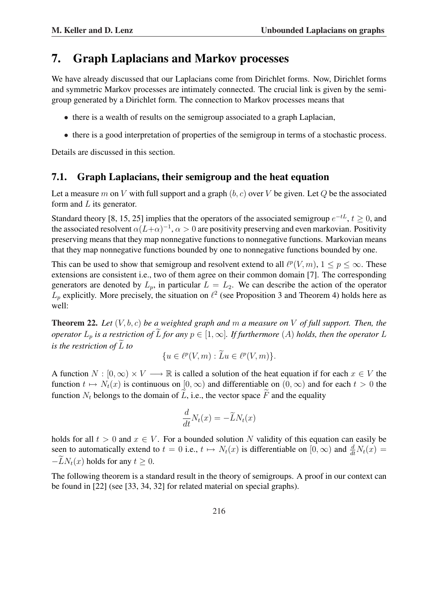## 7. Graph Laplacians and Markov processes

We have already discussed that our Laplacians come from Dirichlet forms. Now, Dirichlet forms and symmetric Markov processes are intimately connected. The crucial link is given by the semigroup generated by a Dirichlet form. The connection to Markov processes means that

- there is a wealth of results on the semigroup associated to a graph Laplacian,
- there is a good interpretation of properties of the semigroup in terms of a stochastic process.

Details are discussed in this section.

### 7.1. Graph Laplacians, their semigroup and the heat equation

Let a measure m on V with full support and a graph  $(b, c)$  over V be given. Let Q be the associated form and  $L$  its generator.

Standard theory [8, 15, 25] implies that the operators of the associated semigroup  $e^{-tL}$ ,  $t \ge 0$ , and the associated resolvent  $\alpha (L+\alpha)^{-1}$ ,  $\alpha > 0$  are positivity preserving and even markovian. Positivity preserving means that they map nonnegative functions to nonnegative functions. Markovian means that they map nonnegative functions bounded by one to nonnegative functions bounded by one.

This can be used to show that semigroup and resolvent extend to all  $\ell^p(V, m)$ ,  $1 \leq p \leq \infty$ . These extensions are consistent i.e., two of them agree on their common domain [7]. The corresponding generators are denoted by  $L_p$ , in particular  $L = L_2$ . We can describe the action of the operator  $L_p$  explicitly. More precisely, the situation on  $\ell^2$  (see Proposition 3 and Theorem 4) holds here as well:

Theorem 22. *Let* (V, b, c) *be a weighted graph and* m *a measure on* V *of full support. Then, the operator*  $L_p$  *is a restriction of*  $\widetilde{L}$  *for any*  $p \in [1,\infty]$ *. If furthermore*  $(A)$  *holds, then the operator*  $L$ *is the restriction of*  $\tilde{L}$  *to* 

$$
\{u \in \ell^p(V, m) : \widetilde{L}u \in \ell^p(V, m)\}.
$$

A function  $N : [0, \infty) \times V \longrightarrow \mathbb{R}$  is called a solution of the heat equation if for each  $x \in V$  the function  $t \mapsto N_t(x)$  is continuous on  $[0, \infty)$  and differentiable on  $(0, \infty)$  and for each  $t > 0$  the function  $N_t$  belongs to the domain of  $\tilde{L}$ , i.e., the vector space  $\tilde{F}$  and the equality

$$
\frac{d}{dt}N_t(x) = -\widetilde{L}N_t(x)
$$

holds for all  $t > 0$  and  $x \in V$ . For a bounded solution N validity of this equation can easily be seen to automatically extend to  $t = 0$  i.e.,  $t \mapsto N_t(x)$  is differentiable on  $[0, \infty)$  and  $\frac{d}{dt}N_t(x) =$  $-LN_t(x)$  holds for any  $t \geq 0$ .

The following theorem is a standard result in the theory of semigroups. A proof in our context can be found in [22] (see [33, 34, 32] for related material on special graphs).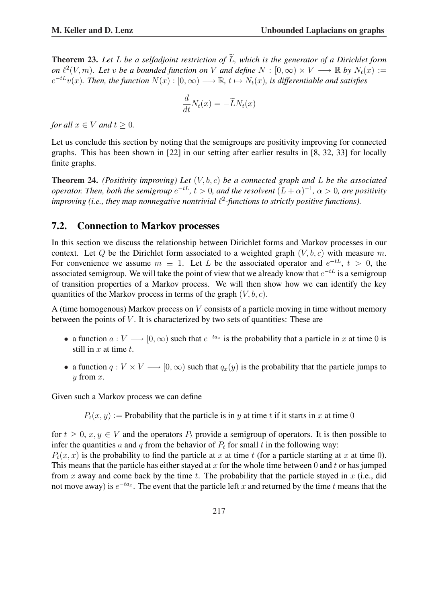**Theorem 23.** Let L be a selfadjoint restriction of  $\widetilde{L}$ , which is the generator of a Dirichlet form *on*  $\ell^2(V, m)$ *. Let* v *be a bounded function on* V *and define*  $N : [0, \infty) \times V \longrightarrow \mathbb{R}$  *by*  $N_t(x) :=$  $e^{-tL}v(x)$ . Then, the function  $N(x):[0,\infty)\longrightarrow \mathbb{R}$ ,  $t\mapsto N_t(x)$ , is differentiable and satisfies

$$
\frac{d}{dt}N_t(x) = -\widetilde{L}N_t(x)
$$

*for all*  $x \in V$  *and*  $t > 0$ *.* 

Let us conclude this section by noting that the semigroups are positivity improving for connected graphs. This has been shown in [22] in our setting after earlier results in [8, 32, 33] for locally finite graphs.

Theorem 24. *(Positivity improving) Let* (V, b, c) *be a connected graph and* L *be the associated operator. Then, both the semigroup*  $e^{-tL}$ ,  $t > 0$ , and the resolvent  $(L + \alpha)^{-1}$ ,  $\alpha > 0$ , are positivity improving (i.e., they map nonnegative nontrivial  $\ell^2$ -functions to strictly positive functions).

### 7.2. Connection to Markov processes

In this section we discuss the relationship between Dirichlet forms and Markov processes in our context. Let Q be the Dirichlet form associated to a weighted graph  $(V, b, c)$  with measure m. For convenience we assume  $m \equiv 1$ . Let L be the associated operator and  $e^{-tL}$ ,  $t > 0$ , the associated semigroup. We will take the point of view that we already know that  $e^{-tL}$  is a semigroup of transition properties of a Markov process. We will then show how we can identify the key quantities of the Markov process in terms of the graph  $(V, b, c)$ .

A (time homogenous) Markov process on V consists of a particle moving in time without memory between the points of  $V$ . It is characterized by two sets of quantities: These are

- a function  $a: V \longrightarrow [0, \infty)$  such that  $e^{-ta_x}$  is the probability that a particle in x at time 0 is still in  $x$  at time  $t$ .
- a function  $q: V \times V \longrightarrow [0, \infty)$  such that  $q_x(y)$  is the probability that the particle jumps to  $y$  from  $x$ .

Given such a Markov process we can define

 $P_t(x, y) :=$  Probability that the particle is in y at time t if it starts in x at time 0

for  $t \geq 0$ ,  $x, y \in V$  and the operators  $P_t$  provide a semigroup of operators. It is then possible to infer the quantities a and q from the behavior of  $P_t$  for small t in the following way:

 $P_t(x, x)$  is the probability to find the particle at x at time t (for a particle starting at x at time 0). This means that the particle has either stayed at x for the whole time between 0 and t or has jumped from x away and come back by the time t. The probability that the particle stayed in  $x$  (i.e., did not move away) is  $e^{-ta_x}$ . The event that the particle left x and returned by the time t means that the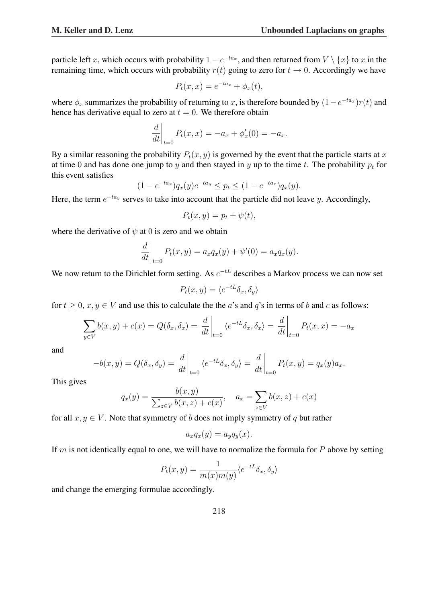particle left x, which occurs with probability  $1 - e^{-ta_x}$ , and then returned from  $V \setminus \{x\}$  to x in the remaining time, which occurs with probability  $r(t)$  going to zero for  $t \to 0$ . Accordingly we have

$$
P_t(x, x) = e^{-ta_x} + \phi_x(t),
$$

where  $\phi_x$  summarizes the probability of returning to x, is therefore bounded by  $(1 - e^{-ta_x})r(t)$  and hence has derivative equal to zero at  $t = 0$ . We therefore obtain

$$
\left. \frac{d}{dt} \right|_{t=0} P_t(x, x) = -a_x + \phi'_x(0) = -a_x.
$$

By a similar reasoning the probability  $P_t(x, y)$  is governed by the event that the particle starts at x at time 0 and has done one jump to y and then stayed in y up to the time t. The probability  $p_t$  for this event satisfies

$$
(1 - e^{-ta_x})q_x(y)e^{-ta_y} \leq p_t \leq (1 - e^{-ta_x})q_x(y).
$$

Here, the term  $e^{-ta_y}$  serves to take into account that the particle did not leave y. Accordingly,

$$
P_t(x, y) = p_t + \psi(t),
$$

where the derivative of  $\psi$  at 0 is zero and we obtain

$$
\left. \frac{d}{dt} \right|_{t=0} P_t(x, y) = a_x q_x(y) + \psi'(0) = a_x q_x(y).
$$

We now return to the Dirichlet form setting. As  $e^{-tL}$  describes a Markov process we can now set

$$
P_t(x, y) = \langle e^{-tL} \delta_x, \delta_y \rangle
$$

for  $t \geq 0$ ,  $x, y \in V$  and use this to calculate the the a's and q's in terms of b and c as follows:

$$
\sum_{y \in V} b(x, y) + c(x) = Q(\delta_x, \delta_x) = \frac{d}{dt}\bigg|_{t=0} \langle e^{-tL}\delta_x, \delta_x \rangle = \frac{d}{dt}\bigg|_{t=0} P_t(x, x) = -a_x
$$

and

$$
-b(x,y) = Q(\delta_x, \delta_y) = \frac{d}{dt}\bigg|_{t=0} \langle e^{-tL}\delta_x, \delta_y \rangle = \frac{d}{dt}\bigg|_{t=0} P_t(x,y) = q_x(y)a_x.
$$

This gives

$$
q_x(y) = \frac{b(x, y)}{\sum_{z \in V} b(x, z) + c(x)}, \quad a_x = \sum_{z \in V} b(x, z) + c(x)
$$

for all  $x, y \in V$ . Note that symmetry of b does not imply symmetry of q but rather

$$
a_x q_x(y) = a_y q_y(x).
$$

If m is not identically equal to one, we will have to normalize the formula for  $P$  above by setting

$$
P_t(x, y) = \frac{1}{m(x)m(y)} \langle e^{-tL} \delta_x, \delta_y \rangle
$$

and change the emerging formulae accordingly.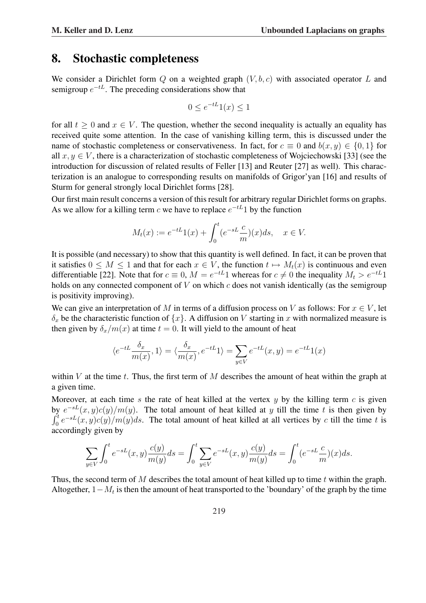### 8. Stochastic completeness

We consider a Dirichlet form Q on a weighted graph  $(V, b, c)$  with associated operator L and semigroup  $e^{-tL}$ . The preceding considerations show that

$$
0 \le e^{-tL} 1(x) \le 1
$$

for all  $t > 0$  and  $x \in V$ . The question, whether the second inequality is actually an equality has received quite some attention. In the case of vanishing killing term, this is discussed under the name of stochastic completeness or conservativeness. In fact, for  $c \equiv 0$  and  $b(x, y) \in \{0, 1\}$  for all  $x, y \in V$ , there is a characterization of stochastic completeness of Wojciechowski [33] (see the introduction for discussion of related results of Feller [13] and Reuter [27] as well). This characterization is an analogue to corresponding results on manifolds of Grigor'yan [16] and results of Sturm for general strongly local Dirichlet forms [28].

Our first main result concerns a version of this result for arbitrary regular Dirichlet forms on graphs. As we allow for a killing term c we have to replace  $e^{-tL}$  by the function

$$
M_t(x) := e^{-tL}1(x) + \int_0^t (e^{-sL}\frac{c}{m})(x)ds, \quad x \in V.
$$

It is possible (and necessary) to show that this quantity is well defined. In fact, it can be proven that it satisfies  $0 \leq M \leq 1$  and that for each  $x \in V$ , the function  $t \mapsto M_t(x)$  is continuous and even differentiable [22]. Note that for  $c \equiv 0$ ,  $M = e^{-tL}1$  whereas for  $c \neq 0$  the inequality  $M_t > e^{-tL}1$ holds on any connected component of  $V$  on which  $c$  does not vanish identically (as the semigroup is positivity improving).

We can give an interpretation of M in terms of a diffusion process on V as follows: For  $x \in V$ , let  $\delta_x$  be the characteristic function of  $\{x\}$ . A diffusion on V starting in x with normalized measure is then given by  $\delta_x/m(x)$  at time  $t = 0$ . It will yield to the amount of heat

$$
\langle e^{-tL}\frac{\delta_x}{m(x)},1\rangle=\langle \frac{\delta_x}{m(x)},e^{-tL}1\rangle=\sum_{y\in V}e^{-tL}(x,y)=e^{-tL}1(x)
$$

within  $V$  at the time  $t$ . Thus, the first term of  $M$  describes the amount of heat within the graph at a given time.

Moreover, at each time s the rate of heat killed at the vertex  $y$  by the killing term c is given by  $e^{-sL}(x, y)c(y)/m(y)$ . The total amount of heat killed at y till the time t is then given by  $\frac{dy}{dt}$  $\int_0^t e^{-sL}(x, y)c(y)/m(y)ds$ . The total amount of heat killed at all vertices by c till the time t is accordingly given by

$$
\sum_{y \in V} \int_0^t e^{-sL}(x, y) \frac{c(y)}{m(y)} ds = \int_0^t \sum_{y \in V} e^{-sL}(x, y) \frac{c(y)}{m(y)} ds = \int_0^t (e^{-sL} \frac{c}{m})(x) ds.
$$

Thus, the second term of  $M$  describes the total amount of heat killed up to time  $t$  within the graph. Altogether,  $1-M_t$  is then the amount of heat transported to the 'boundary' of the graph by the time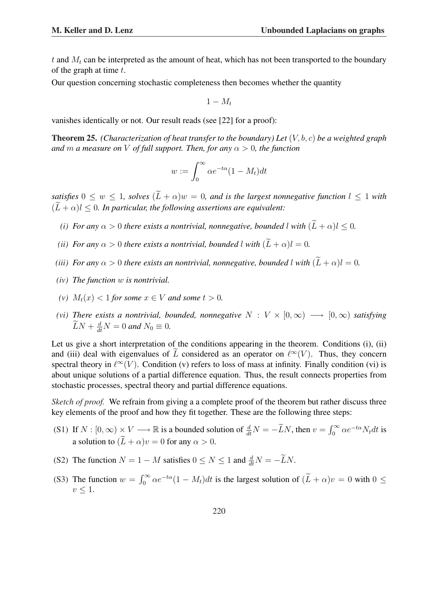t and  $M_t$  can be interpreted as the amount of heat, which has not been transported to the boundary of the graph at time  $t$ .

Our question concerning stochastic completeness then becomes whether the quantity

 $1 - M_t$ 

vanishes identically or not. Our result reads (see [22] for a proof):

Theorem 25. *(Characterization of heat transfer to the boundary) Let* (V, b, c) *be a weighted graph and* m *a* measure on V of full support. Then, for any  $\alpha > 0$ , the function

$$
w := \int_0^\infty \alpha e^{-t\alpha} (1 - M_t) dt
$$

*satisfies*  $0 \leq w \leq 1$ *, solves*  $(\widetilde{L} + \alpha)w = 0$ *, and is the largest nonnegative function*  $l \leq 1$  *with*  $(\widetilde{L} + \alpha)l \leq 0$ . In particular, the following assertions are equivalent:

- *(i)* For any  $\alpha > 0$  there exists a nontrivial, nonnegative, bounded l with  $(\widetilde{L} + \alpha)l < 0$ .
- *(ii) For any*  $\alpha > 0$  *there exists a nontrivial, bounded l with*  $(\widetilde{L} + \alpha)l = 0$ *.*
- *(iii) For any*  $\alpha > 0$  *there exists an nontrivial, nonnegative, bounded l with*  $(\widetilde{L} + \alpha)l = 0$ *.*
- *(iv) The function* w *is nontrivial.*
- (*v*)  $M_t(x) < 1$  *for some*  $x \in V$  *and some*  $t > 0$ *.*
- *(vi) There exists a nontrivial, bounded, nonnegative*  $N : V \times [0, \infty) \longrightarrow [0, \infty)$  *satisfying*  $\widetilde{L}N + \frac{d}{dt}N = 0$  and  $N_0 \equiv 0$ *.*

Let us give a short interpretation of the conditions appearing in the theorem. Conditions (i), (ii) and (iii) deal with eigenvalues of  $\tilde{L}$  considered as an operator on  $\ell^{\infty}(V)$ . Thus, they concern spectral theory in  $\ell^{\infty}(V)$ . Condition (v) refers to loss of mass at infinity. Finally condition (vi) is about unique solutions of a partial difference equation. Thus, the result connects properties from stochastic processes, spectral theory and partial difference equations.

*Sketch of proof.* We refrain from giving a a complete proof of the theorem but rather discuss three key elements of the proof and how they fit together. These are the following three steps:

- (S1) If  $N : [0, \infty) \times V \longrightarrow \mathbb{R}$  is a bounded solution of  $\frac{d}{dt}N = -\widetilde{L}N$ , then  $v = \int_0^\infty$  $\int_0^\infty \alpha e^{-t\alpha} N_t dt$  is a solution to  $(\widetilde{L} + \alpha)v = 0$  for any  $\alpha > 0$ .
- (S2) The function  $N = 1 M$  satisfies  $0 \le N \le 1$  and  $\frac{d}{dt}N = -\widetilde{L}N$ .
- (S3) The function  $w = \int_0^\infty$  $\int_0^{\infty} \alpha e^{-t\alpha}(1 - M_t) dt$  is the largest solution of  $(\widetilde{L} + \alpha)v = 0$  with  $0 \leq$  $v \leq 1$ .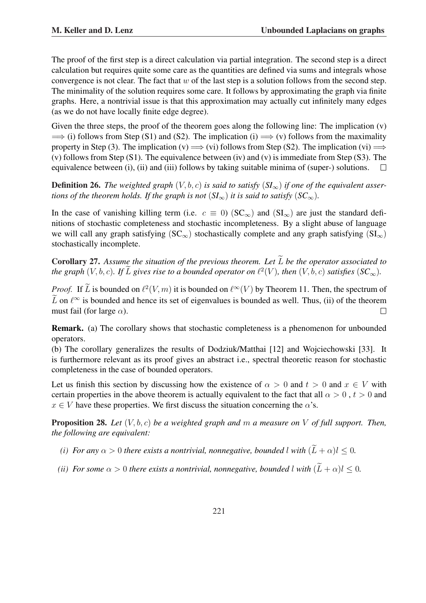The proof of the first step is a direct calculation via partial integration. The second step is a direct calculation but requires quite some care as the quantities are defined via sums and integrals whose convergence is not clear. The fact that  $w$  of the last step is a solution follows from the second step. The minimality of the solution requires some care. It follows by approximating the graph via finite graphs. Here, a nontrivial issue is that this approximation may actually cut infinitely many edges (as we do not have locally finite edge degree).

Given the three steps, the proof of the theorem goes along the following line: The implication  $(v)$  $\Rightarrow$  (i) follows from Step (S1) and (S2). The implication (i)  $\Rightarrow$  (v) follows from the maximality property in Step (3). The implication (v)  $\implies$  (vi) follows from Step (S2). The implication (vi)  $\implies$ (v) follows from Step (S1). The equivalence between (iv) and (v) is immediate from Step (S3). The equivalence between (i), (ii) and (iii) follows by taking suitable minima of (super-) solutions.  $\Box$ 

**Definition 26.** The weighted graph  $(V, b, c)$  is said to satisfy  $(SI_{\infty})$  if one of the equivalent asser*tions of the theorem holds. If the graph is not*  $(SI_{\infty})$  *it is said to satisfy*  $(SC_{\infty})$ *.* 

In the case of vanishing killing term (i.e.  $c \equiv 0$ ) (SC<sub>∞</sub>) and (SI<sub>∞</sub>) are just the standard definitions of stochastic completeness and stochastic incompleteness. By a slight abuse of language we will call any graph satisfying ( $SC_{\infty}$ ) stochastically complete and any graph satisfying ( $SI_{\infty}$ ) stochastically incomplete.

Corollary 27. Assume the situation of the previous theorem. Let  $\widetilde{L}$  be the operator associated to *the graph*  $(V, b, c)$ *. If*  $\widetilde{L}$  gives rise to a bounded operator on  $\ell^2(V)$ , then  $(V, \dot{b}, c)$  satisfies  $(SC_{\infty})$ .

*Proof.* If  $\widetilde{L}$  is bounded on  $\ell^2(V, m)$  it is bounded on  $\ell^{\infty}(V)$  by Theorem 11. Then, the spectrum of  $\tilde{L}$  on  $\ell^{\infty}$  is bounded and hence its set of eigenvalues is bounded as well. Thus, (ii) of the theorem must fail (for large  $\alpha$ ).  $\Box$ 

Remark. (a) The corollary shows that stochastic completeness is a phenomenon for unbounded operators.

(b) The corollary generalizes the results of Dodziuk/Matthai [12] and Wojciechowski [33]. It is furthermore relevant as its proof gives an abstract i.e., spectral theoretic reason for stochastic completeness in the case of bounded operators.

Let us finish this section by discussing how the existence of  $\alpha > 0$  and  $t > 0$  and  $x \in V$  with certain properties in the above theorem is actually equivalent to the fact that all  $\alpha > 0$ ,  $t > 0$  and  $x \in V$  have these properties. We first discuss the situation concerning the  $\alpha$ 's.

Proposition 28. *Let* (V, b, c) *be a weighted graph and* m *a measure on* V *of full support. Then, the following are equivalent:*

- *(i) For any*  $\alpha > 0$  *there exists a nontrivial, nonnegative, bounded l with*  $(\widetilde{L} + \alpha)l < 0$ *.*
- *(ii) For some*  $\alpha > 0$  *there exists a nontrivial, nonnegative, bounded l with*  $(\widetilde{L} + \alpha)l \leq 0$ *.*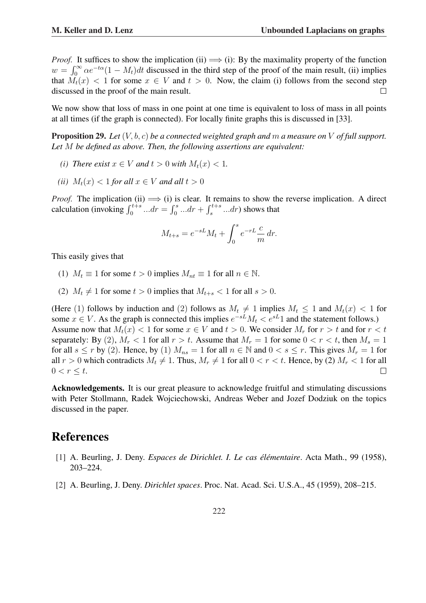*Proof.* It suffices to show the implication (ii)  $\implies$  (i): By the maximality property of the function  $\int_{-\infty}^{\infty}$   $-t^{\alpha}(1 - M) M$  diamental in the third stars of the grand of the grain much (ii) in the  $w = \int_0^\infty \alpha e^{-t\alpha} (1 - M_t) dt$  discussed in the third step of the proof of the main result, (ii) implies that  $M_t(x) < 1$  for some  $x \in V$  and  $t > 0$ . Now, the claim (i) follows from the second step discussed in the proof of the main result.  $\Box$ 

We now show that loss of mass in one point at one time is equivalent to loss of mass in all points at all times (if the graph is connected). For locally finite graphs this is discussed in [33].

Proposition 29. *Let* (V, b, c) *be a connected weighted graph and* m *a measure on* V *of full support. Let* M *be defined as above. Then, the following assertions are equivalent:*

- *(i) There exist*  $x \in V$  *and*  $t > 0$  *with*  $M_t(x) < 1$ .
- *(ii)*  $M_t(x) < 1$  *for all*  $x \in V$  *and all*  $t > 0$

*Proof.* The implication (ii)  $\implies$  (i) is clear. It remains to show the reverse implication. A direct *Proof.* The implication (ii)  $\implies$  (i) is<br>calculation (invoking  $\int_0^{t+s} ... dr = \int_0^s$ is clear. It ref<br>  $\int_{0}^{s} ... dr + \int_{s}^{t+s}$  $s^{t+s}$  ...dr) shows that

$$
M_{t+s} = e^{-sL}M_t + \int_0^s e^{-rL} \frac{c}{m} dr.
$$

This easily gives that

- (1)  $M_t \equiv 1$  for some  $t > 0$  implies  $M_{nt} \equiv 1$  for all  $n \in \mathbb{N}$ .
- (2)  $M_t \neq 1$  for some  $t > 0$  implies that  $M_{t+s} < 1$  for all  $s > 0$ .

(Here (1) follows by induction and (2) follows as  $M_t \neq 1$  implies  $M_t \leq 1$  and  $M_t(x) < 1$  for some  $x \in V$ . As the graph is connected this implies  $e^{-sL}M_t < e^{sL}1$  and the statement follows.) Assume now that  $M_t(x) < 1$  for some  $x \in V$  and  $t > 0$ . We consider  $M_r$  for  $r > t$  and for  $r < t$ separately: By (2),  $M_r < 1$  for all  $r > t$ . Assume that  $M_r = 1$  for some  $0 < r < t$ , then  $M_s = 1$ for all  $s \le r$  by (2). Hence, by (1)  $M_{ns} = 1$  for all  $n \in \mathbb{N}$  and  $0 < s \le r$ . This gives  $M_r = 1$  for all  $r > 0$  which contradicts  $M_t \neq 1$ . Thus,  $M_r \neq 1$  for all  $0 < r < t$ . Hence, by (2)  $M_r < 1$  for all  $0 < r \leq t$ .  $\Box$ 

Acknowledgements. It is our great pleasure to acknowledge fruitful and stimulating discussions with Peter Stollmann, Radek Wojciechowski, Andreas Weber and Jozef Dodziuk on the topics discussed in the paper.

## References

- [1] A. Beurling, J. Deny. *Espaces de Dirichlet. I. Le cas élémentaire*. Acta Math., 99 (1958), 203–224.
- [2] A. Beurling, J. Deny. *Dirichlet spaces*. Proc. Nat. Acad. Sci. U.S.A., 45 (1959), 208–215.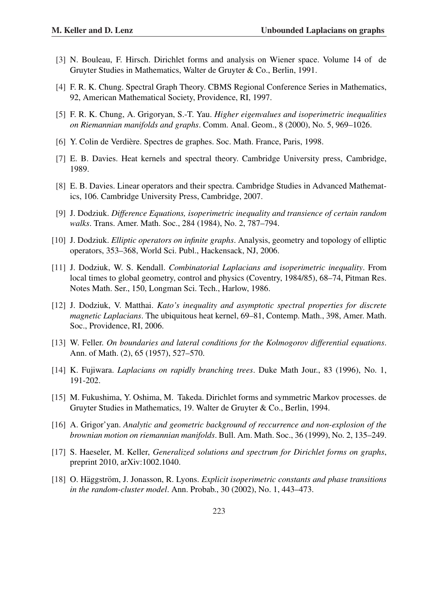- [3] N. Bouleau, F. Hirsch. Dirichlet forms and analysis on Wiener space. Volume 14 of de Gruyter Studies in Mathematics, Walter de Gruyter & Co., Berlin, 1991.
- [4] F. R. K. Chung. Spectral Graph Theory. CBMS Regional Conference Series in Mathematics, 92, American Mathematical Society, Providence, RI, 1997.
- [5] F. R. K. Chung, A. Grigoryan, S.-T. Yau. *Higher eigenvalues and isoperimetric inequalities on Riemannian manifolds and graphs*. Comm. Anal. Geom., 8 (2000), No. 5, 969–1026.
- [6] Y. Colin de Verdière. Spectres de graphes. Soc. Math. France, Paris, 1998.
- [7] E. B. Davies. Heat kernels and spectral theory. Cambridge University press, Cambridge, 1989.
- [8] E. B. Davies. Linear operators and their spectra. Cambridge Studies in Advanced Mathematics, 106. Cambridge University Press, Cambridge, 2007.
- [9] J. Dodziuk. *Difference Equations, isoperimetric inequality and transience of certain random walks*. Trans. Amer. Math. Soc., 284 (1984), No. 2, 787–794.
- [10] J. Dodziuk. *Elliptic operators on infinite graphs*. Analysis, geometry and topology of elliptic operators, 353–368, World Sci. Publ., Hackensack, NJ, 2006.
- [11] J. Dodziuk, W. S. Kendall. *Combinatorial Laplacians and isoperimetric inequality*. From local times to global geometry, control and physics (Coventry, 1984/85), 68–74, Pitman Res. Notes Math. Ser., 150, Longman Sci. Tech., Harlow, 1986.
- [12] J. Dodziuk, V. Matthai. *Kato's inequality and asymptotic spectral properties for discrete magnetic Laplacians*. The ubiquitous heat kernel, 69–81, Contemp. Math., 398, Amer. Math. Soc., Providence, RI, 2006.
- [13] W. Feller. *On boundaries and lateral conditions for the Kolmogorov differential equations*. Ann. of Math. (2), 65 (1957), 527–570.
- [14] K. Fujiwara. *Laplacians on rapidly branching trees*. Duke Math Jour., 83 (1996), No. 1, 191-202.
- [15] M. Fukushima, Y. Oshima, M. Takeda. Dirichlet forms and symmetric Markov processes. de Gruyter Studies in Mathematics, 19. Walter de Gruyter & Co., Berlin, 1994.
- [16] A. Grigor'yan. *Analytic and geometric background of reccurrence and non-explosion of the brownian motion on riemannian manifolds*. Bull. Am. Math. Soc., 36 (1999), No. 2, 135–249.
- [17] S. Haeseler, M. Keller, *Generalized solutions and spectrum for Dirichlet forms on graphs*, preprint 2010, arXiv:1002.1040.
- [18] O. Häggström, J. Jonasson, R. Lyons. *Explicit isoperimetric constants and phase transitions in the random-cluster model*. Ann. Probab., 30 (2002), No. 1, 443–473.